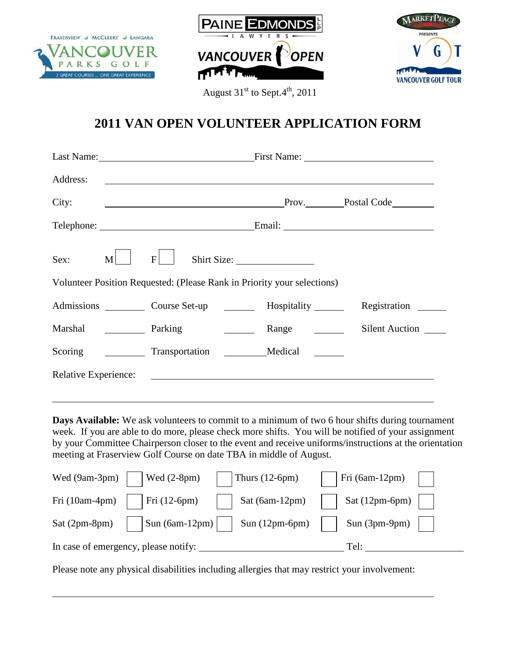





August  $31<sup>st</sup>$  to Sept. $4<sup>th</sup>$ , 2011

## **2011 VAN OPEN VOLUNTEER APPLICATION FORM**

| Address:                                                                | <u> 1989 - Jan Barbara de Santo III e al Indonesia de la contrada de la contrada de la contrada de la contrada de</u> |                                                                                                   |                       |  |
|-------------------------------------------------------------------------|-----------------------------------------------------------------------------------------------------------------------|---------------------------------------------------------------------------------------------------|-----------------------|--|
| City:                                                                   | <u> 2008 - Jan James Barnett, fransk politik (d. 1888)</u>                                                            |                                                                                                   | Prov. Postal Code     |  |
|                                                                         |                                                                                                                       |                                                                                                   |                       |  |
| Sex:<br>M                                                               | F                                                                                                                     | Shirt Size:                                                                                       |                       |  |
| Volunteer Position Requested: (Please Rank in Priority your selections) |                                                                                                                       |                                                                                                   |                       |  |
|                                                                         | Admissions Course Set-up                                                                                              | Hospitality _______                                                                               | Registration          |  |
|                                                                         | Marshal <b>Denote</b> Parking                                                                                         |                                                                                                   | <b>Silent Auction</b> |  |
| Scoring                                                                 | Transportation                                                                                                        | Medical                                                                                           |                       |  |
| Relative Experience:                                                    |                                                                                                                       | <u> 1989 - Johann Stein, mars an deus an deus Amerikaanse komme en de Fryske komme en oantale</u> |                       |  |
|                                                                         |                                                                                                                       |                                                                                                   |                       |  |

**Days Available:** We ask volunteers to commit to a minimum of two 6 hour shifts during tournament week. If you are able to do more, please check more shifts. You will be notified of your assignment by your Committee Chairperson closer to the event and receive uniforms/instructions at the orientation meeting at Fraserview Golf Course on date TBA in middle of August.

| Wed (9am-3pm)                        | Wed $(2-8pm)$    | Thurs $(12-6pm)$ | Fri (6am-12pm) |  |
|--------------------------------------|------------------|------------------|----------------|--|
| Fri (10am-4pm)                       | Fri (12-6pm)     | Sat (6am-12pm)   | Sat (12pm-6pm) |  |
| Sat (2pm-8pm)                        | Sun $(6am-12pm)$ | Sun $(12pm-6pm)$ | Sun (3pm-9pm)  |  |
| In case of emergency, please notify: |                  |                  | Tel:           |  |

Please note any physical disabilities including allergies that may restrict your involvement: